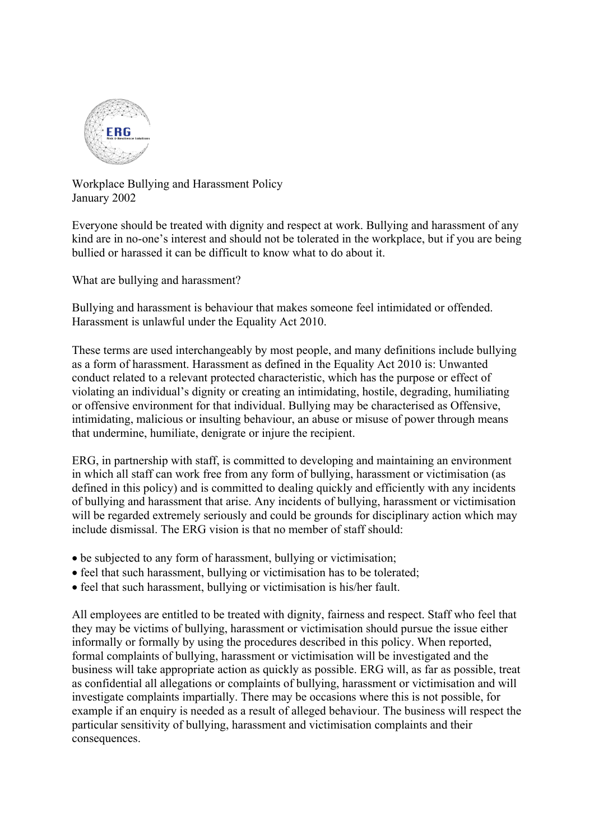

Workplace Bullying and Harassment Policy January 2002

Everyone should be treated with dignity and respect at work. Bullying and harassment of any kind are in no-one's interest and should not be tolerated in the workplace, but if you are being bullied or harassed it can be difficult to know what to do about it.

What are bullying and harassment?

Bullying and harassment is behaviour that makes someone feel intimidated or offended. Harassment is unlawful under the Equality Act 2010.

These terms are used interchangeably by most people, and many definitions include bullying as a form of harassment. Harassment as defined in the Equality Act 2010 is: Unwanted conduct related to a relevant protected characteristic, which has the purpose or effect of violating an individual's dignity or creating an intimidating, hostile, degrading, humiliating or offensive environment for that individual. Bullying may be characterised as Offensive, intimidating, malicious or insulting behaviour, an abuse or misuse of power through means that undermine, humiliate, denigrate or injure the recipient.

ERG, in partnership with staff, is committed to developing and maintaining an environment in which all staff can work free from any form of bullying, harassment or victimisation (as defined in this policy) and is committed to dealing quickly and efficiently with any incidents of bullying and harassment that arise. Any incidents of bullying, harassment or victimisation will be regarded extremely seriously and could be grounds for disciplinary action which may include dismissal. The ERG vision is that no member of staff should:

- be subjected to any form of harassment, bullying or victimisation;
- feel that such harassment, bullying or victimisation has to be tolerated;
- feel that such harassment, bullying or victimisation is his/her fault.

All employees are entitled to be treated with dignity, fairness and respect. Staff who feel that they may be victims of bullying, harassment or victimisation should pursue the issue either informally or formally by using the procedures described in this policy. When reported, formal complaints of bullying, harassment or victimisation will be investigated and the business will take appropriate action as quickly as possible. ERG will, as far as possible, treat as confidential all allegations or complaints of bullying, harassment or victimisation and will investigate complaints impartially. There may be occasions where this is not possible, for example if an enquiry is needed as a result of alleged behaviour. The business will respect the particular sensitivity of bullying, harassment and victimisation complaints and their consequences.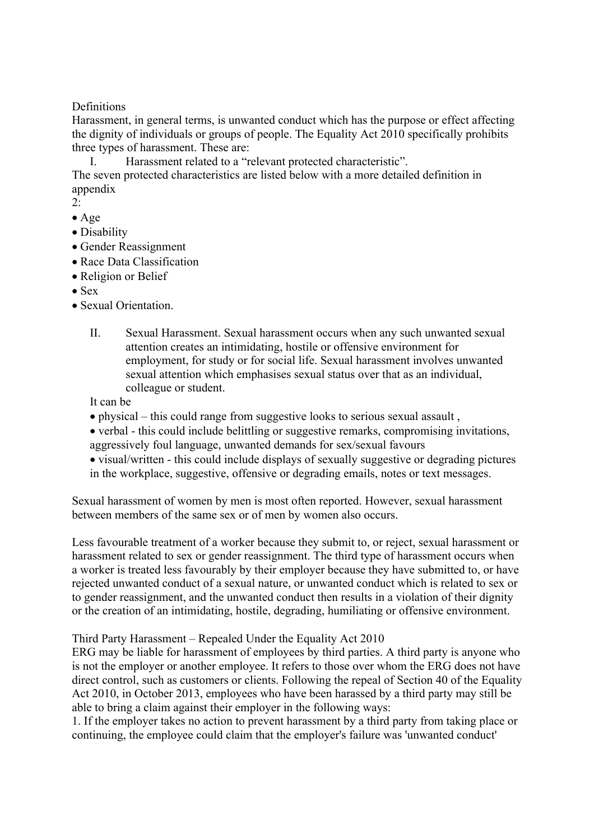## **Definitions**

Harassment, in general terms, is unwanted conduct which has the purpose or effect affecting the dignity of individuals or groups of people. The Equality Act 2010 specifically prohibits three types of harassment. These are:

I. Harassment related to a "relevant protected characteristic".

The seven protected characteristics are listed below with a more detailed definition in appendix

- 2:
- Age
- Disability
- Gender Reassignment
- Race Data Classification
- Religion or Belief
- Sex
- Sexual Orientation.
	- II. Sexual Harassment. Sexual harassment occurs when any such unwanted sexual attention creates an intimidating, hostile or offensive environment for employment, for study or for social life. Sexual harassment involves unwanted sexual attention which emphasises sexual status over that as an individual, colleague or student.

It can be

- physical this could range from suggestive looks to serious sexual assault ,
- verbal this could include belittling or suggestive remarks, compromising invitations, aggressively foul language, unwanted demands for sex/sexual favours
- visual/written this could include displays of sexually suggestive or degrading pictures in the workplace, suggestive, offensive or degrading emails, notes or text messages.

Sexual harassment of women by men is most often reported. However, sexual harassment between members of the same sex or of men by women also occurs.

Less favourable treatment of a worker because they submit to, or reject, sexual harassment or harassment related to sex or gender reassignment. The third type of harassment occurs when a worker is treated less favourably by their employer because they have submitted to, or have rejected unwanted conduct of a sexual nature, or unwanted conduct which is related to sex or to gender reassignment, and the unwanted conduct then results in a violation of their dignity or the creation of an intimidating, hostile, degrading, humiliating or offensive environment.

## Third Party Harassment – Repealed Under the Equality Act 2010

ERG may be liable for harassment of employees by third parties. A third party is anyone who is not the employer or another employee. It refers to those over whom the ERG does not have direct control, such as customers or clients. Following the repeal of Section 40 of the Equality Act 2010, in October 2013, employees who have been harassed by a third party may still be able to bring a claim against their employer in the following ways:

1. If the employer takes no action to prevent harassment by a third party from taking place or continuing, the employee could claim that the employer's failure was 'unwanted conduct'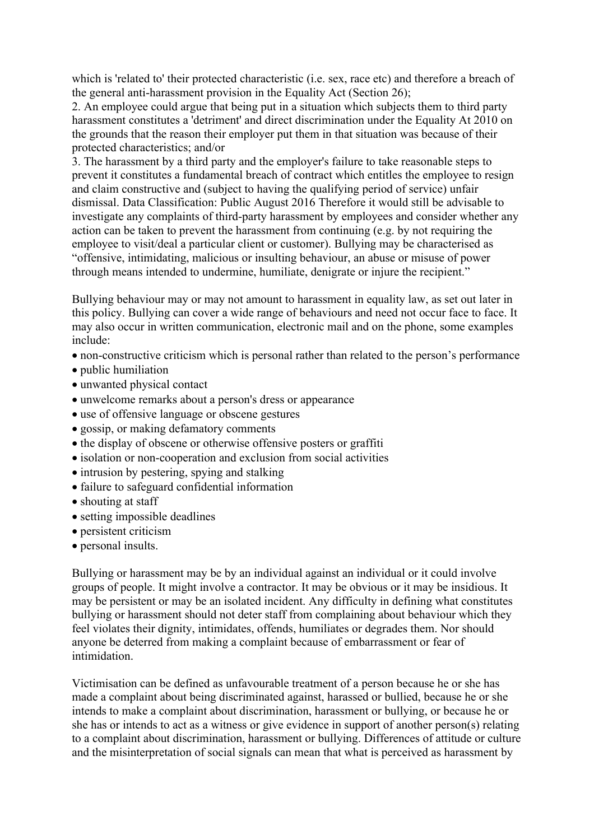which is 'related to' their protected characteristic (i.e. sex, race etc) and therefore a breach of the general anti-harassment provision in the Equality Act (Section 26);

2. An employee could argue that being put in a situation which subjects them to third party harassment constitutes a 'detriment' and direct discrimination under the Equality At 2010 on the grounds that the reason their employer put them in that situation was because of their protected characteristics; and/or

3. The harassment by a third party and the employer's failure to take reasonable steps to prevent it constitutes a fundamental breach of contract which entitles the employee to resign and claim constructive and (subject to having the qualifying period of service) unfair dismissal. Data Classification: Public August 2016 Therefore it would still be advisable to investigate any complaints of third-party harassment by employees and consider whether any action can be taken to prevent the harassment from continuing (e.g. by not requiring the employee to visit/deal a particular client or customer). Bullying may be characterised as "offensive, intimidating, malicious or insulting behaviour, an abuse or misuse of power through means intended to undermine, humiliate, denigrate or injure the recipient."

Bullying behaviour may or may not amount to harassment in equality law, as set out later in this policy. Bullying can cover a wide range of behaviours and need not occur face to face. It may also occur in written communication, electronic mail and on the phone, some examples include:

- non-constructive criticism which is personal rather than related to the person's performance
- public humiliation
- unwanted physical contact
- unwelcome remarks about a person's dress or appearance
- use of offensive language or obscene gestures
- gossip, or making defamatory comments
- the display of obscene or otherwise offensive posters or graffiti
- isolation or non-cooperation and exclusion from social activities
- intrusion by pestering, spying and stalking
- failure to safeguard confidential information
- shouting at staff
- setting impossible deadlines
- persistent criticism
- personal insults.

Bullying or harassment may be by an individual against an individual or it could involve groups of people. It might involve a contractor. It may be obvious or it may be insidious. It may be persistent or may be an isolated incident. Any difficulty in defining what constitutes bullying or harassment should not deter staff from complaining about behaviour which they feel violates their dignity, intimidates, offends, humiliates or degrades them. Nor should anyone be deterred from making a complaint because of embarrassment or fear of intimidation.

Victimisation can be defined as unfavourable treatment of a person because he or she has made a complaint about being discriminated against, harassed or bullied, because he or she intends to make a complaint about discrimination, harassment or bullying, or because he or she has or intends to act as a witness or give evidence in support of another person(s) relating to a complaint about discrimination, harassment or bullying. Differences of attitude or culture and the misinterpretation of social signals can mean that what is perceived as harassment by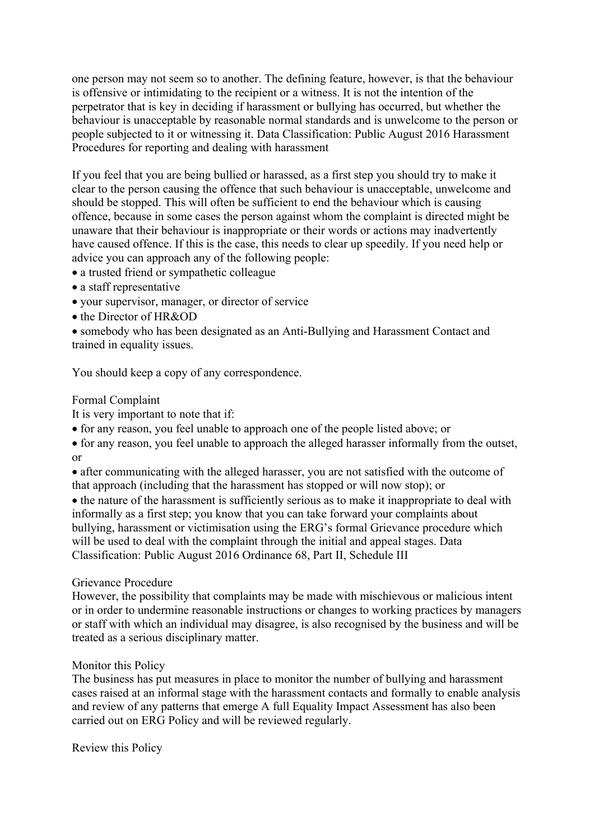one person may not seem so to another. The defining feature, however, is that the behaviour is offensive or intimidating to the recipient or a witness. It is not the intention of the perpetrator that is key in deciding if harassment or bullying has occurred, but whether the behaviour is unacceptable by reasonable normal standards and is unwelcome to the person or people subjected to it or witnessing it. Data Classification: Public August 2016 Harassment Procedures for reporting and dealing with harassment

If you feel that you are being bullied or harassed, as a first step you should try to make it clear to the person causing the offence that such behaviour is unacceptable, unwelcome and should be stopped. This will often be sufficient to end the behaviour which is causing offence, because in some cases the person against whom the complaint is directed might be unaware that their behaviour is inappropriate or their words or actions may inadvertently have caused offence. If this is the case, this needs to clear up speedily. If you need help or advice you can approach any of the following people:

- a trusted friend or sympathetic colleague
- a staff representative
- your supervisor, manager, or director of service
- the Director of HR&OD
- somebody who has been designated as an Anti-Bullying and Harassment Contact and trained in equality issues.

You should keep a copy of any correspondence.

## Formal Complaint

It is very important to note that if:

• for any reason, you feel unable to approach one of the people listed above; or

• for any reason, you feel unable to approach the alleged harasser informally from the outset, or

• after communicating with the alleged harasser, you are not satisfied with the outcome of that approach (including that the harassment has stopped or will now stop); or

• the nature of the harassment is sufficiently serious as to make it inappropriate to deal with informally as a first step; you know that you can take forward your complaints about bullying, harassment or victimisation using the ERG's formal Grievance procedure which will be used to deal with the complaint through the initial and appeal stages. Data Classification: Public August 2016 Ordinance 68, Part II, Schedule III

## Grievance Procedure

However, the possibility that complaints may be made with mischievous or malicious intent or in order to undermine reasonable instructions or changes to working practices by managers or staff with which an individual may disagree, is also recognised by the business and will be treated as a serious disciplinary matter.

## Monitor this Policy

The business has put measures in place to monitor the number of bullying and harassment cases raised at an informal stage with the harassment contacts and formally to enable analysis and review of any patterns that emerge A full Equality Impact Assessment has also been carried out on ERG Policy and will be reviewed regularly.

Review this Policy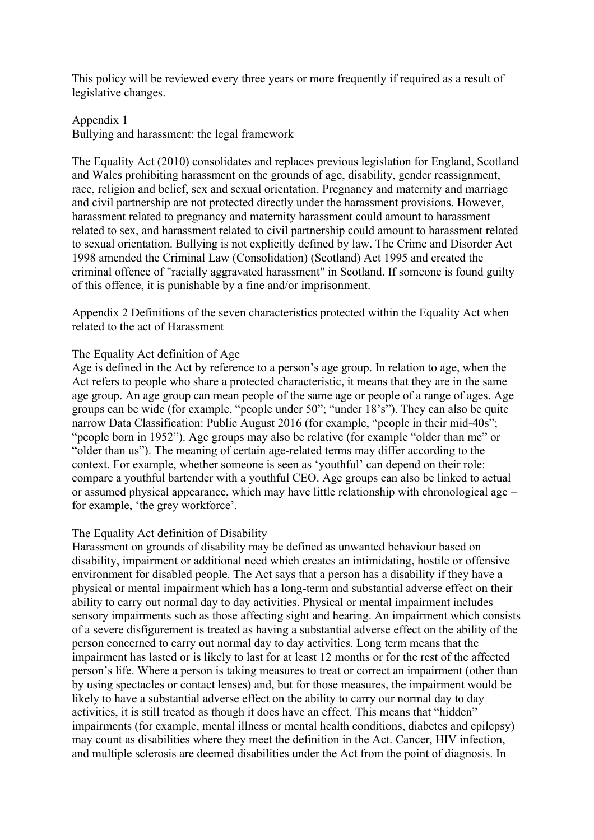This policy will be reviewed every three years or more frequently if required as a result of legislative changes.

## Appendix 1 Bullying and harassment: the legal framework

The Equality Act (2010) consolidates and replaces previous legislation for England, Scotland and Wales prohibiting harassment on the grounds of age, disability, gender reassignment, race, religion and belief, sex and sexual orientation. Pregnancy and maternity and marriage and civil partnership are not protected directly under the harassment provisions. However, harassment related to pregnancy and maternity harassment could amount to harassment related to sex, and harassment related to civil partnership could amount to harassment related to sexual orientation. Bullying is not explicitly defined by law. The Crime and Disorder Act 1998 amended the Criminal Law (Consolidation) (Scotland) Act 1995 and created the criminal offence of "racially aggravated harassment" in Scotland. If someone is found guilty of this offence, it is punishable by a fine and/or imprisonment.

Appendix 2 Definitions of the seven characteristics protected within the Equality Act when related to the act of Harassment

## The Equality Act definition of Age

Age is defined in the Act by reference to a person's age group. In relation to age, when the Act refers to people who share a protected characteristic, it means that they are in the same age group. An age group can mean people of the same age or people of a range of ages. Age groups can be wide (for example, "people under 50"; "under 18's"). They can also be quite narrow Data Classification: Public August 2016 (for example, "people in their mid-40s"; "people born in 1952"). Age groups may also be relative (for example "older than me" or "older than us"). The meaning of certain age-related terms may differ according to the context. For example, whether someone is seen as 'youthful' can depend on their role: compare a youthful bartender with a youthful CEO. Age groups can also be linked to actual or assumed physical appearance, which may have little relationship with chronological age – for example, 'the grey workforce'.

## The Equality Act definition of Disability

Harassment on grounds of disability may be defined as unwanted behaviour based on disability, impairment or additional need which creates an intimidating, hostile or offensive environment for disabled people. The Act says that a person has a disability if they have a physical or mental impairment which has a long-term and substantial adverse effect on their ability to carry out normal day to day activities. Physical or mental impairment includes sensory impairments such as those affecting sight and hearing. An impairment which consists of a severe disfigurement is treated as having a substantial adverse effect on the ability of the person concerned to carry out normal day to day activities. Long term means that the impairment has lasted or is likely to last for at least 12 months or for the rest of the affected person's life. Where a person is taking measures to treat or correct an impairment (other than by using spectacles or contact lenses) and, but for those measures, the impairment would be likely to have a substantial adverse effect on the ability to carry our normal day to day activities, it is still treated as though it does have an effect. This means that "hidden" impairments (for example, mental illness or mental health conditions, diabetes and epilepsy) may count as disabilities where they meet the definition in the Act. Cancer, HIV infection, and multiple sclerosis are deemed disabilities under the Act from the point of diagnosis. In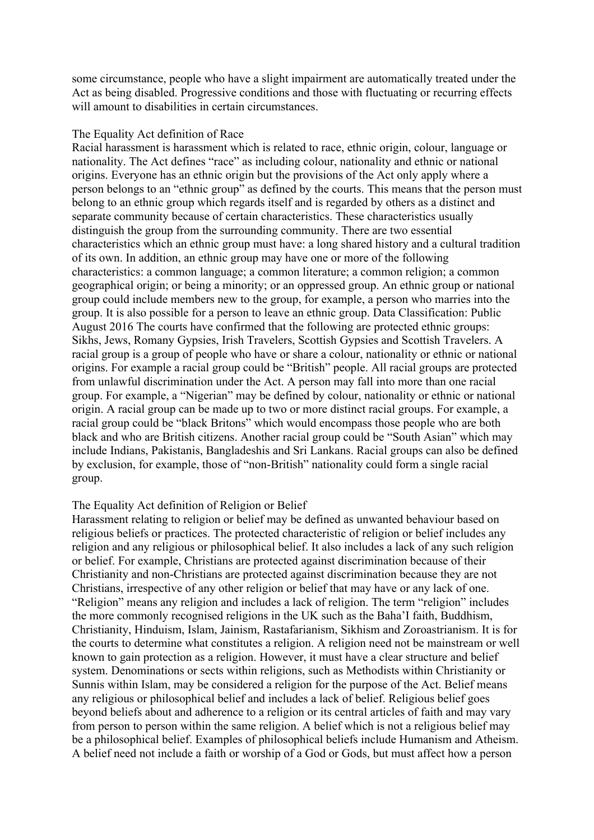some circumstance, people who have a slight impairment are automatically treated under the Act as being disabled. Progressive conditions and those with fluctuating or recurring effects will amount to disabilities in certain circumstances.

#### The Equality Act definition of Race

Racial harassment is harassment which is related to race, ethnic origin, colour, language or nationality. The Act defines "race" as including colour, nationality and ethnic or national origins. Everyone has an ethnic origin but the provisions of the Act only apply where a person belongs to an "ethnic group" as defined by the courts. This means that the person must belong to an ethnic group which regards itself and is regarded by others as a distinct and separate community because of certain characteristics. These characteristics usually distinguish the group from the surrounding community. There are two essential characteristics which an ethnic group must have: a long shared history and a cultural tradition of its own. In addition, an ethnic group may have one or more of the following characteristics: a common language; a common literature; a common religion; a common geographical origin; or being a minority; or an oppressed group. An ethnic group or national group could include members new to the group, for example, a person who marries into the group. It is also possible for a person to leave an ethnic group. Data Classification: Public August 2016 The courts have confirmed that the following are protected ethnic groups: Sikhs, Jews, Romany Gypsies, Irish Travelers, Scottish Gypsies and Scottish Travelers. A racial group is a group of people who have or share a colour, nationality or ethnic or national origins. For example a racial group could be "British" people. All racial groups are protected from unlawful discrimination under the Act. A person may fall into more than one racial group. For example, a "Nigerian" may be defined by colour, nationality or ethnic or national origin. A racial group can be made up to two or more distinct racial groups. For example, a racial group could be "black Britons" which would encompass those people who are both black and who are British citizens. Another racial group could be "South Asian" which may include Indians, Pakistanis, Bangladeshis and Sri Lankans. Racial groups can also be defined by exclusion, for example, those of "non-British" nationality could form a single racial group.

#### The Equality Act definition of Religion or Belief

Harassment relating to religion or belief may be defined as unwanted behaviour based on religious beliefs or practices. The protected characteristic of religion or belief includes any religion and any religious or philosophical belief. It also includes a lack of any such religion or belief. For example, Christians are protected against discrimination because of their Christianity and non-Christians are protected against discrimination because they are not Christians, irrespective of any other religion or belief that may have or any lack of one. "Religion" means any religion and includes a lack of religion. The term "religion" includes the more commonly recognised religions in the UK such as the Baha'I faith, Buddhism, Christianity, Hinduism, Islam, Jainism, Rastafarianism, Sikhism and Zoroastrianism. It is for the courts to determine what constitutes a religion. A religion need not be mainstream or well known to gain protection as a religion. However, it must have a clear structure and belief system. Denominations or sects within religions, such as Methodists within Christianity or Sunnis within Islam, may be considered a religion for the purpose of the Act. Belief means any religious or philosophical belief and includes a lack of belief. Religious belief goes beyond beliefs about and adherence to a religion or its central articles of faith and may vary from person to person within the same religion. A belief which is not a religious belief may be a philosophical belief. Examples of philosophical beliefs include Humanism and Atheism. A belief need not include a faith or worship of a God or Gods, but must affect how a person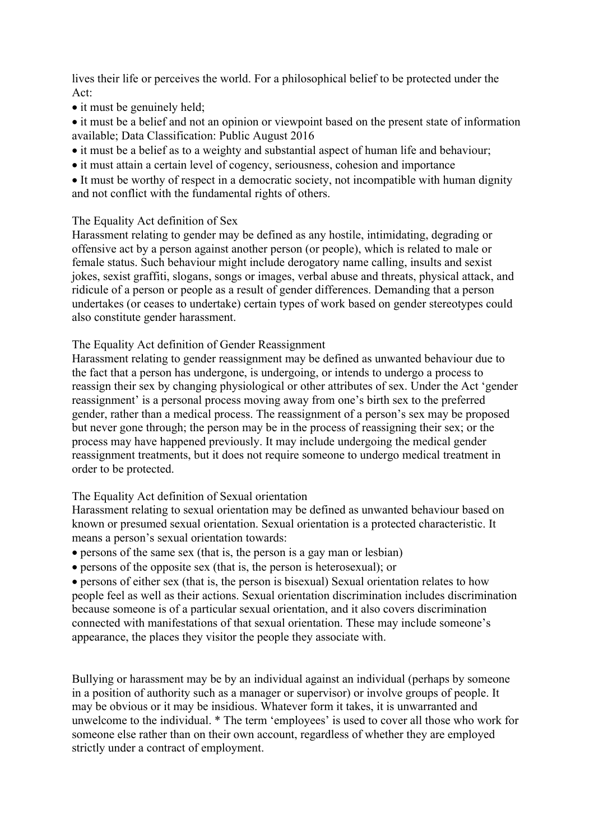lives their life or perceives the world. For a philosophical belief to be protected under the Act:

- it must be genuinely held;
- it must be a belief and not an opinion or viewpoint based on the present state of information available; Data Classification: Public August 2016
- it must be a belief as to a weighty and substantial aspect of human life and behaviour;
- it must attain a certain level of cogency, seriousness, cohesion and importance
- It must be worthy of respect in a democratic society, not incompatible with human dignity and not conflict with the fundamental rights of others.

# The Equality Act definition of Sex

Harassment relating to gender may be defined as any hostile, intimidating, degrading or offensive act by a person against another person (or people), which is related to male or female status. Such behaviour might include derogatory name calling, insults and sexist jokes, sexist graffiti, slogans, songs or images, verbal abuse and threats, physical attack, and ridicule of a person or people as a result of gender differences. Demanding that a person undertakes (or ceases to undertake) certain types of work based on gender stereotypes could also constitute gender harassment.

## The Equality Act definition of Gender Reassignment

Harassment relating to gender reassignment may be defined as unwanted behaviour due to the fact that a person has undergone, is undergoing, or intends to undergo a process to reassign their sex by changing physiological or other attributes of sex. Under the Act 'gender reassignment' is a personal process moving away from one's birth sex to the preferred gender, rather than a medical process. The reassignment of a person's sex may be proposed but never gone through; the person may be in the process of reassigning their sex; or the process may have happened previously. It may include undergoing the medical gender reassignment treatments, but it does not require someone to undergo medical treatment in order to be protected.

## The Equality Act definition of Sexual orientation

Harassment relating to sexual orientation may be defined as unwanted behaviour based on known or presumed sexual orientation. Sexual orientation is a protected characteristic. It means a person's sexual orientation towards:

- persons of the same sex (that is, the person is a gay man or lesbian)
- persons of the opposite sex (that is, the person is heterosexual); or

• persons of either sex (that is, the person is bisexual) Sexual orientation relates to how people feel as well as their actions. Sexual orientation discrimination includes discrimination because someone is of a particular sexual orientation, and it also covers discrimination connected with manifestations of that sexual orientation. These may include someone's appearance, the places they visitor the people they associate with.

Bullying or harassment may be by an individual against an individual (perhaps by someone in a position of authority such as a manager or supervisor) or involve groups of people. It may be obvious or it may be insidious. Whatever form it takes, it is unwarranted and unwelcome to the individual. \* The term 'employees' is used to cover all those who work for someone else rather than on their own account, regardless of whether they are employed strictly under a contract of employment.